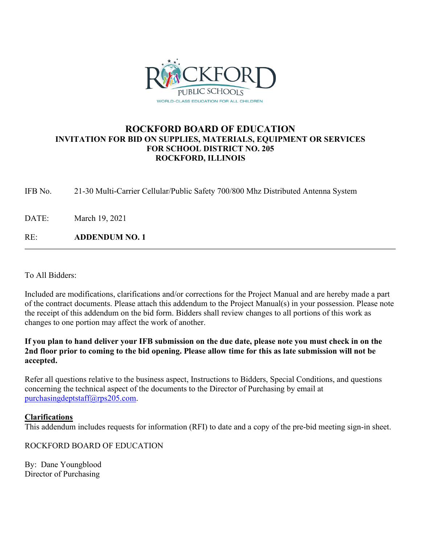

### **ROCKFORD BOARD OF EDUCATION INVITATION FOR BID ON SUPPLIES, MATERIALS, EQUIPMENT OR SERVICES FOR SCHOOL DISTRICT NO. 205 ROCKFORD, ILLINOIS**

IFB No. 21-30 Multi-Carrier Cellular/Public Safety 700/800 Mhz Distributed Antenna System

DATE: March 19, 2021

RE: **ADDENDUM NO. 1**

To All Bidders:

Included are modifications, clarifications and/or corrections for the Project Manual and are hereby made a part of the contract documents. Please attach this addendum to the Project Manual(s) in your possession. Please note the receipt of this addendum on the bid form. Bidders shall review changes to all portions of this work as changes to one portion may affect the work of another.

**If you plan to hand deliver your IFB submission on the due date, please note you must check in on the 2nd floor prior to coming to the bid opening. Please allow time for this as late submission will not be accepted.**

Refer all questions relative to the business aspect, Instructions to Bidders, Special Conditions, and questions concerning the technical aspect of the documents to the Director of Purchasing by email at [purchasingdeptstaff@rps205.com.](mailto:purchasingdeptstaff@rps205.com)

### **Clarifications**

This addendum includes requests for information (RFI) to date and a copy of the pre-bid meeting sign-in sheet.

ROCKFORD BOARD OF EDUCATION

By: Dane Youngblood Director of Purchasing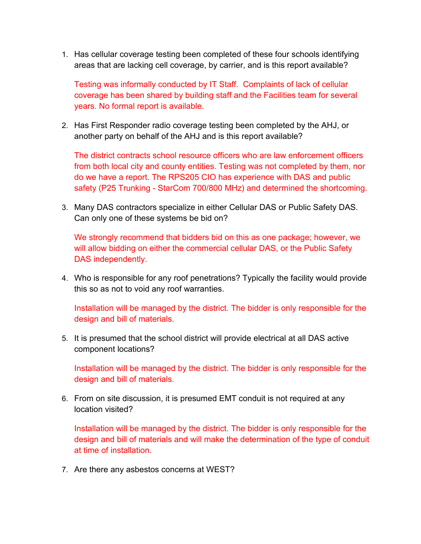1. Has cellular coverage testing been completed of these four schools identifying areas that are lacking cell coverage, by carrier, and is this report available?

Testing was informally conducted by IT Staff. Complaints of lack of cellular coverage has been shared by building staff and the Facilities team for several years. No formal report is available.

2. Has First Responder radio coverage testing been completed by the AHJ, or another party on behalf of the AHJ and is this report available?

The district contracts school resource officers who are law enforcement officers from both local city and county entities. Testing was not completed by them, nor do we have a report. The RPS205 CIO has experience with DAS and public safety (P25 Trunking - StarCom 700/800 MHz) and determined the shortcoming.

3. Many DAS contractors specialize in either Cellular DAS or Public Safety DAS. Can only one of these systems be bid on?

We strongly recommend that bidders bid on this as one package; however, we will allow bidding on either the commercial cellular DAS, or the Public Safety DAS independently.

4. Who is responsible for any roof penetrations? Typically the facility would provide this so as not to void any roof warranties.

Installation will be managed by the district. The bidder is only responsible for the design and bill of materials.

5. It is presumed that the school district will provide electrical at all DAS active component locations?

Installation will be managed by the district. The bidder is only responsible for the design and bill of materials.

6. From on site discussion, it is presumed EMT conduit is not required at any location visited?

Installation will be managed by the district. The bidder is only responsible for the design and bill of materials and will make the determination of the type of conduit at time of installation.

7. Are there any asbestos concerns at WEST?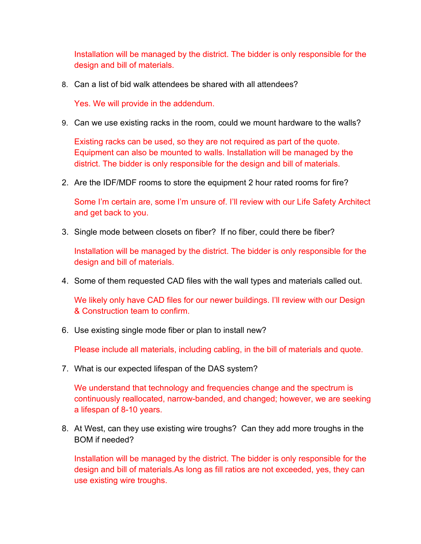Installation will be managed by the district. The bidder is only responsible for the design and bill of materials.

8. Can a list of bid walk attendees be shared with all attendees?

Yes. We will provide in the addendum.

9. Can we use existing racks in the room, could we mount hardware to the walls?

Existing racks can be used, so they are not required as part of the quote. Equipment can also be mounted to walls. Installation will be managed by the district. The bidder is only responsible for the design and bill of materials.

2. Are the IDF/MDF rooms to store the equipment 2 hour rated rooms for fire?

Some I'm certain are, some I'm unsure of. I'll review with our Life Safety Architect and get back to you.

3. Single mode between closets on fiber? If no fiber, could there be fiber?

Installation will be managed by the district. The bidder is only responsible for the design and bill of materials.

4. Some of them requested CAD files with the wall types and materials called out.

We likely only have CAD files for our newer buildings. I'll review with our Design & Construction team to confirm.

6. Use existing single mode fiber or plan to install new?

Please include all materials, including cabling, in the bill of materials and quote.

7. What is our expected lifespan of the DAS system?

We understand that technology and frequencies change and the spectrum is continuously reallocated, narrow-banded, and changed; however, we are seeking a lifespan of 8-10 years.

8. At West, can they use existing wire troughs? Can they add more troughs in the BOM if needed?

Installation will be managed by the district. The bidder is only responsible for the design and bill of materials.As long as fill ratios are not exceeded, yes, they can use existing wire troughs.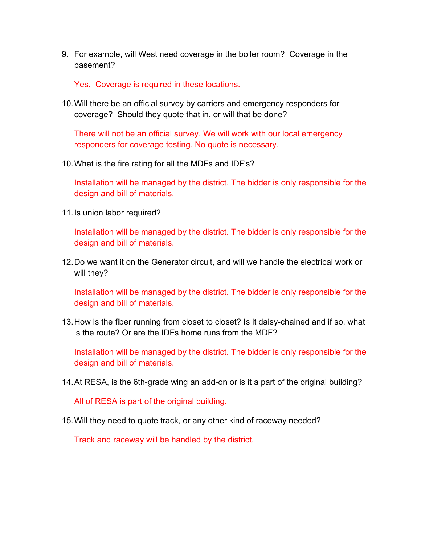9. For example, will West need coverage in the boiler room? Coverage in the basement?

Yes. Coverage is required in these locations.

10.Will there be an official survey by carriers and emergency responders for coverage? Should they quote that in, or will that be done?

There will not be an official survey. We will work with our local emergency responders for coverage testing. No quote is necessary.

10.What is the fire rating for all the MDFs and IDF's?

Installation will be managed by the district. The bidder is only responsible for the design and bill of materials.

11.Is union labor required?

Installation will be managed by the district. The bidder is only responsible for the design and bill of materials.

12.Do we want it on the Generator circuit, and will we handle the electrical work or will they?

Installation will be managed by the district. The bidder is only responsible for the design and bill of materials.

13.How is the fiber running from closet to closet? Is it daisy-chained and if so, what is the route? Or are the IDFs home runs from the MDF?

Installation will be managed by the district. The bidder is only responsible for the design and bill of materials.

14.At RESA, is the 6th-grade wing an add-on or is it a part of the original building?

All of RESA is part of the original building.

15.Will they need to quote track, or any other kind of raceway needed?

Track and raceway will be handled by the district.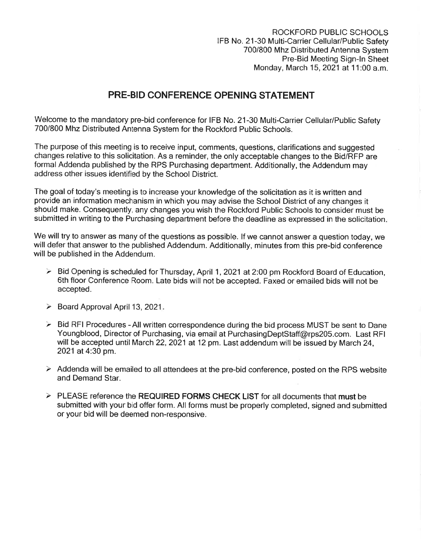ROCKFORD PUBLIC SCHOOLS IFB No. 21-30 Multi-Carrier Cellular/Public Safety 700/800 Mhz Distributed Antenna System Pre-Bid Meeting Sign-In Sheet Monday, March 15, 2021 at 11:00 a.m.

## **PRE-BID CONFERENCE OPENING STATEMENT**

Welcome to the mandatory pre-bid conference for IFB No. 21-30 Multi-Carrier Cellular/Public Safety 700/800 Mhz Distributed Antenna System for the Rockford Public Schools.

The purpose of this meeting is to receive input, comments, questions, clarifications and suggested changes relative to this solicitation. As a reminder, the only acceptable changes to the Bid/RFP are formal Addenda published by the RPS Purchasing department. Additionally, the Addendum may address other issues identified by the School District.

The goal of today's meeting is to increase your knowledge of the solicitation as it is written and provide an information mechanism in which you may advise the School District of any changes it should make. Consequently, any changes you wish the Rockford Public Schools to consider must be submitted in writing to the Purchasing department before the deadline as expressed in the solicitation.

We will try to answer as many of the questions as possible. If we cannot answer a question today, we will defer that answer to the published Addendum. Additionally, minutes from this pre-bid conference will be published in the Addendum.

- > Bid Opening is scheduled for Thursday, April 1, 2021 at 2:00 pm Rockford Board of Education, 6th floor Conference Room. Late bids will not be accepted. Faxed or emailed bids will not be accepted.
- $\geq$  Board Approval April 13, 2021.
- $\triangleright$  Bid RFI Procedures All written correspondence during the bid process MUST be sent to Dane Youngblood, Director of Purchasing, via email at PurchasingDeptStaff@rps205.com. Last RFI will be accepted until March 22, 2021 at 12 pm. Last addendum will be issued by March 24, 2021 at 4:30 pm.
- $\geq$  Addenda will be emailed to all attendees at the pre-bid conference, posted on the RPS website and Demand Star.
- $\ge$  PLEASE reference the REQUIRED FORMS CHECK LIST for all documents that must be submitted with your bid offer form. All forms must be properly completed, signed and submitted or your bid will be deemed non-responsive.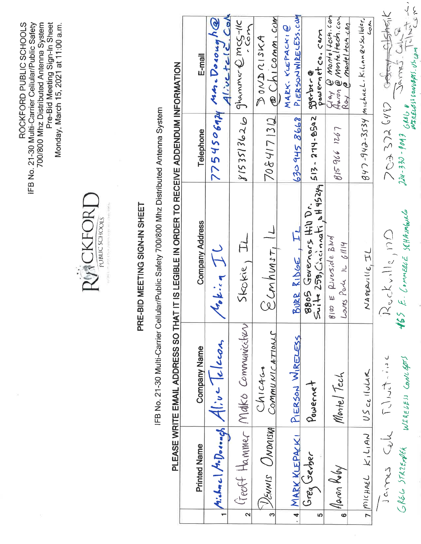700/800 Mhz Distributed Antenna System<br>Pre-Bid Meeting Sign-In Sheet<br>Monday, March 15, 2021 at 11:00 a.m. ROCKFORD PUBLIC SCHOOLS IFB No. 21-30 Multi-Carrier Cellular/Public Safety



## PRE-BID MEETING SIGN-IN SHEET

IFB No. 21-30 Multi-Carrier Cellular/Public Safety 700/800 Mhz Distributed Antenna System

# $\frac{1}{5}$ PLEASE WRITE FMAIL ADDRESS SO THAT IT IS LEGIBLE IN OBDER TO BECENE ADDENDLIM INEO

|                         |                              |                                    | <u>FELANE WATTE EMAIL ADDRESS SO TRATTI IS LEGIBLE IN ORDER TO RECEIVE ADDENDUM INFORMATION</u>                                                                                                                                                                                                                                                        |              |                                                                              |
|-------------------------|------------------------------|------------------------------------|--------------------------------------------------------------------------------------------------------------------------------------------------------------------------------------------------------------------------------------------------------------------------------------------------------------------------------------------------------|--------------|------------------------------------------------------------------------------|
|                         |                              |                                    |                                                                                                                                                                                                                                                                                                                                                        |              |                                                                              |
|                         | <b>Printed Name</b>          | <b>Company Name</b>                | <b>Company Address</b>                                                                                                                                                                                                                                                                                                                                 | Telephone    | E-mail                                                                       |
|                         |                              | Aichnel A.Donnegy Alive Telecom    | $G_{\bullet}$ is $\tau$                                                                                                                                                                                                                                                                                                                                |              | 7754506974 MA. Dorough@                                                      |
| $\overline{\mathbf{C}}$ |                              | lieoff Hammer Malko Communicitiery | $\frac{1}{\sqrt{2\pi}}\sum_{i=1}^n\frac{1}{i\sqrt{2\pi}}\sum_{i=1}^n\frac{1}{i\sqrt{2\pi}}\sum_{i=1}^n\frac{1}{i\sqrt{2\pi}}\sum_{i=1}^n\frac{1}{i\sqrt{2\pi}}\sum_{i=1}^n\frac{1}{i\sqrt{2\pi}}\sum_{i=1}^n\frac{1}{i\sqrt{2\pi}}\sum_{i=1}^n\frac{1}{i\sqrt{2\pi}}\sum_{i=1}^n\frac{1}{i\sqrt{2\pi}}\sum_{i=1}^n\frac{1}{i\sqrt{2\pi}}\sum_{i=1}^n\$ |              | $y$ 153513626 914mmer @mcg-115<br>.Com                                       |
| ო                       | VENNIS UNDAISKA              | COMMUNICATIONS<br>Chicaco          | $\frac{1}{2}$ conhuns $\frac{1}{2}$                                                                                                                                                                                                                                                                                                                    | 7084171312   | Chicomm.com<br>DOND CISKA                                                    |
|                         | 4 MARK KLEPACK!              | PIERSON WIRELESS                   | BURR RIDGE, IL                                                                                                                                                                                                                                                                                                                                         | 830 945 8668 | PIERSONWIRELESS.COM<br>MARK. KLEPACKI@                                       |
| Ю                       | Grey Gerber                  | Powernet                           | $5u1+25B$ , Christianati, 14924 $513 - 274 - 8502$<br>BOOS GONDINGS Hill Dr.                                                                                                                                                                                                                                                                           |              | powernet co. com<br>B                                                        |
| $\ddot{\bullet}$        | Haron Koby                   | Monte/Tech                         | $g_{1}\varpi \in \mathcal{L}$ <i>verside</i> Blud<br>Loves Park 1L 6/114                                                                                                                                                                                                                                                                               | 8159661267   | Gay @ montelecticon<br>Annon @ Monteltech.con<br><u>Ray @ monteltecticon</u> |
|                         | 7 MICHAEL KILIAN US CCILULAR |                                    | NAPEAVIIC,IL                                                                                                                                                                                                                                                                                                                                           |              | $g$ y $7$ -943-3534  michael. Kilinnevscillder.<br>Joh                       |
|                         | James Cule                   | いこ・イフール                            | $R$ uckville, $nD$                                                                                                                                                                                                                                                                                                                                     |              | 7033726482 Codey Clotheric                                                   |
|                         | GREG STRZENDER               | WIRELESS CONVERTS                  | 165 E. CONNERLE SCHAUMBULG                                                                                                                                                                                                                                                                                                                             |              | WIRELES CONVERS . US. US. US. CON<br>$244-330-904364600$ James. Call 2       |